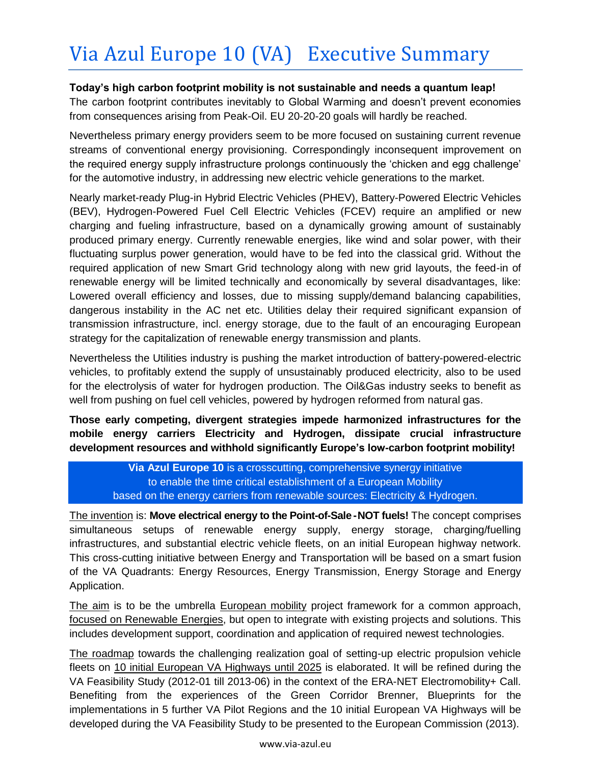## **Today's high carbon footprint mobility is not sustainable and needs a quantum leap!**

The carbon footprint contributes inevitably to Global Warming and doesn't prevent economies from consequences arising from Peak-Oil. EU 20-20-20 goals will hardly be reached.

Nevertheless primary energy providers seem to be more focused on sustaining current revenue streams of conventional energy provisioning. Correspondingly inconsequent improvement on the required energy supply infrastructure prolongs continuously the 'chicken and egg challenge' for the automotive industry, in addressing new electric vehicle generations to the market.

Nearly market-ready Plug-in Hybrid Electric Vehicles (PHEV), Battery-Powered Electric Vehicles (BEV), Hydrogen-Powered Fuel Cell Electric Vehicles (FCEV) require an amplified or new charging and fueling infrastructure, based on a dynamically growing amount of sustainably produced primary energy. Currently renewable energies, like wind and solar power, with their fluctuating surplus power generation, would have to be fed into the classical grid. Without the required application of new Smart Grid technology along with new grid layouts, the feed-in of renewable energy will be limited technically and economically by several disadvantages, like: Lowered overall efficiency and losses, due to missing supply/demand balancing capabilities, dangerous instability in the AC net etc. Utilities delay their required significant expansion of transmission infrastructure, incl. energy storage, due to the fault of an encouraging European strategy for the capitalization of renewable energy transmission and plants.

Nevertheless the Utilities industry is pushing the market introduction of battery-powered-electric vehicles, to profitably extend the supply of unsustainably produced electricity, also to be used for the electrolysis of water for hydrogen production. The Oil&Gas industry seeks to benefit as well from pushing on fuel cell vehicles, powered by hydrogen reformed from natural gas.

**Those early competing, divergent strategies impede harmonized infrastructures for the mobile energy carriers Electricity and Hydrogen, dissipate crucial infrastructure development resources and withhold significantly Europe's low-carbon footprint mobility!**

**Via Azul Europe 10** is a crosscutting, comprehensive synergy initiative to enable the time critical establishment of a European Mobility based on the energy carriers from renewable sources: Electricity & Hydrogen.

The invention is: **Move electrical energy to the Point-of-Sale -NOT fuels!** The concept comprises simultaneous setups of renewable energy supply, energy storage, charging/fuelling infrastructures, and substantial electric vehicle fleets, on an initial European highway network. This cross-cutting initiative between Energy and Transportation will be based on a smart fusion of the VA Quadrants: Energy Resources, Energy Transmission, Energy Storage and Energy Application.

The aim is to be the umbrella European mobility project framework for a common approach, focused on Renewable Energies, but open to integrate with existing projects and solutions. This includes development support, coordination and application of required newest technologies.

The roadmap towards the challenging realization goal of setting-up electric propulsion vehicle fleets on 10 initial European VA Highways until 2025 is elaborated. It will be refined during the VA Feasibility Study (2012-01 till 2013-06) in the context of the ERA-NET Electromobility+ Call. Benefiting from the experiences of the Green Corridor Brenner, Blueprints for the implementations in 5 further VA Pilot Regions and the 10 initial European VA Highways will be developed during the VA Feasibility Study to be presented to the European Commission (2013).